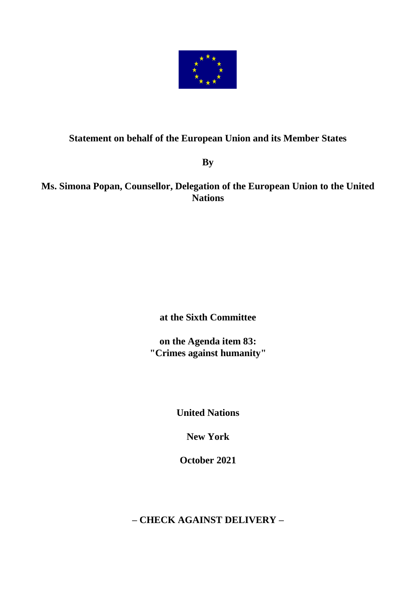

## **Statement on behalf of the European Union and its Member States**

**By** 

**Ms. Simona Popan, Counsellor, Delegation of the European Union to the United Nations**

**at the Sixth Committee**

**on the Agenda item 83: "Crimes against humanity"**

**United Nations**

**New York**

**October 2021**

**– CHECK AGAINST DELIVERY –**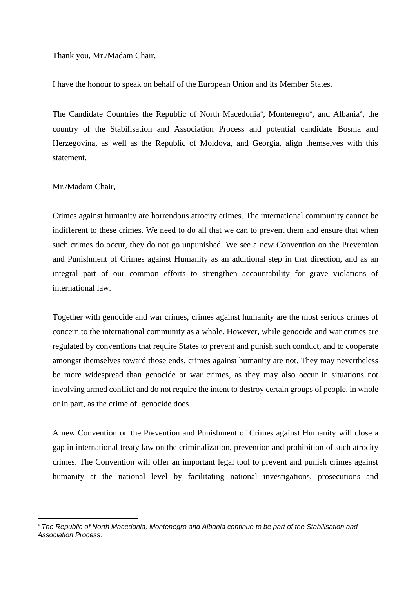Thank you, Mr./Madam Chair,

I have the honour to speak on behalf of the European Union and its Member States.

The Candidate Countries the Republic of North Macedonia\*, Montenegro\*, and Albania\*, the country of the Stabilisation and Association Process and potential candidate Bosnia and Herzegovina, as well as the Republic of Moldova, and Georgia, align themselves with this statement.

## Mr./Madam Chair,

Crimes against humanity are horrendous atrocity crimes. The international community cannot be indifferent to these crimes. We need to do all that we can to prevent them and ensure that when such crimes do occur, they do not go unpunished. We see a new Convention on the Prevention and Punishment of Crimes against Humanity as an additional step in that direction, and as an integral part of our common efforts to strengthen accountability for grave violations of international law.

Together with genocide and war crimes, crimes against humanity are the most serious crimes of concern to the international community as a whole. However, while genocide and war crimes are regulated by conventions that require States to prevent and punish such conduct, and to cooperate amongst themselves toward those ends, crimes against humanity are not. They may nevertheless be more widespread than genocide or war crimes, as they may also occur in situations not involving armed conflict and do not require the intent to destroy certain groups of people, in whole or in part, as the crime of genocide does.

A new Convention on the Prevention and Punishment of Crimes against Humanity will close a gap in international treaty law on the criminalization, prevention and prohibition of such atrocity crimes. The Convention will offer an important legal tool to prevent and punish crimes against humanity at the national level by facilitating national investigations, prosecutions and

*The Republic of North Macedonia, Montenegro and Albania continue to be part of the Stabilisation and Association Process.*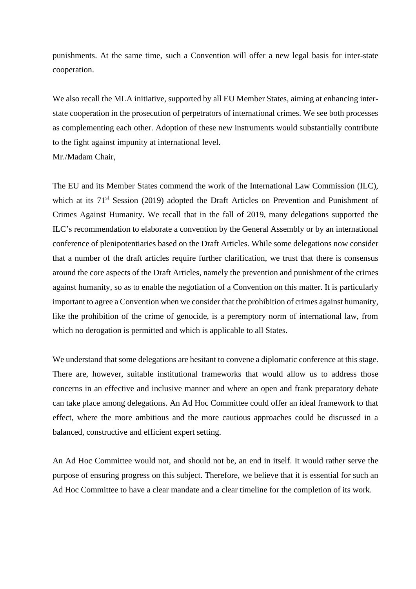punishments. At the same time, such a Convention will offer a new legal basis for inter-state cooperation.

We also recall the MLA initiative, supported by all EU Member States, aiming at enhancing interstate cooperation in the prosecution of perpetrators of international crimes. We see both processes as complementing each other. Adoption of these new instruments would substantially contribute to the fight against impunity at international level.

Mr./Madam Chair,

The EU and its Member States commend the work of the International Law Commission (ILC), which at its 71<sup>st</sup> Session (2019) adopted the Draft Articles on Prevention and Punishment of Crimes Against Humanity. We recall that in the fall of 2019, many delegations supported the ILC's recommendation to elaborate a convention by the General Assembly or by an international conference of plenipotentiaries based on the Draft Articles. While some delegations now consider that a number of the draft articles require further clarification, we trust that there is consensus around the core aspects of the Draft Articles, namely the prevention and punishment of the crimes against humanity, so as to enable the negotiation of a Convention on this matter. It is particularly important to agree a Convention when we consider that the prohibition of crimes against humanity, like the prohibition of the crime of genocide, is a peremptory norm of international law, from which no derogation is permitted and which is applicable to all States.

We understand that some delegations are hesitant to convene a diplomatic conference at this stage. There are, however, suitable institutional frameworks that would allow us to address those concerns in an effective and inclusive manner and where an open and frank preparatory debate can take place among delegations. An Ad Hoc Committee could offer an ideal framework to that effect, where the more ambitious and the more cautious approaches could be discussed in a balanced, constructive and efficient expert setting.

An Ad Hoc Committee would not, and should not be, an end in itself. It would rather serve the purpose of ensuring progress on this subject. Therefore, we believe that it is essential for such an Ad Hoc Committee to have a clear mandate and a clear timeline for the completion of its work.